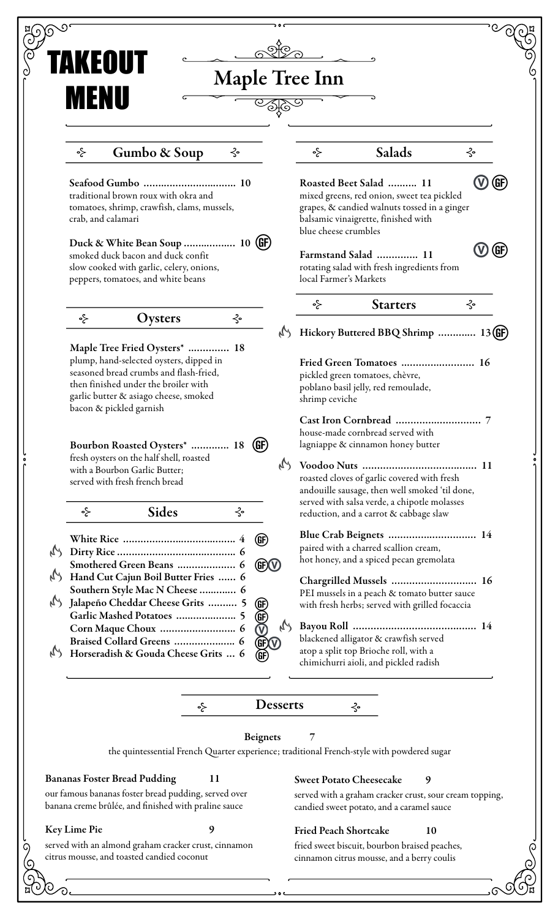|                                  | TAKEOUT                                                                                                                                                                                       |         |                        |               |                                                                                                                                                                                             |                                                                                                                                               |                 |
|----------------------------------|-----------------------------------------------------------------------------------------------------------------------------------------------------------------------------------------------|---------|------------------------|---------------|---------------------------------------------------------------------------------------------------------------------------------------------------------------------------------------------|-----------------------------------------------------------------------------------------------------------------------------------------------|-----------------|
|                                  | <b>Maple Tree Inn</b>                                                                                                                                                                         |         |                        |               |                                                                                                                                                                                             |                                                                                                                                               |                 |
|                                  | <b>MENU</b>                                                                                                                                                                                   |         |                        |               |                                                                                                                                                                                             |                                                                                                                                               |                 |
|                                  | Gumbo & Soup<br>⊰∘                                                                                                                                                                            | ⊰∘      |                        |               | ⊰∘                                                                                                                                                                                          | Salads                                                                                                                                        | ⊰∘              |
|                                  | traditional brown roux with okra and<br>tomatoes, shrimp, crawfish, clams, mussels,<br>crab, and calamari                                                                                     |         |                        |               | (GF)<br>Roasted Beet Salad  11<br>mixed greens, red onion, sweet tea pickled<br>grapes, & candied walnuts tossed in a ginger<br>balsamic vinaigrette, finished with<br>blue cheese crumbles |                                                                                                                                               |                 |
|                                  | Duck & White Bean Soup  10 (GF)<br>smoked duck bacon and duck confit<br>slow cooked with garlic, celery, onions,<br>peppers, tomatoes, and white beans                                        |         |                        |               | local Farmer's Markets                                                                                                                                                                      | Farmstand Salad  11<br>rotating salad with fresh ingredients from                                                                             | $\bigcirc$ (GF) |
|                                  |                                                                                                                                                                                               |         |                        |               | ⊰∘                                                                                                                                                                                          | <b>Starters</b>                                                                                                                               | ⊰∘              |
|                                  | Oysters<br>⊰∘<br>Maple Tree Fried Oysters*  18                                                                                                                                                | $\prec$ |                        | $\mathcal{M}$ |                                                                                                                                                                                             | Hickory Buttered BBQ Shrimp  13(GF)                                                                                                           |                 |
|                                  | plump, hand-selected oysters, dipped in<br>seasoned bread crumbs and flash-fried,<br>then finished under the broiler with<br>garlic butter & asiago cheese, smoked<br>bacon & pickled garnish |         |                        |               | shrimp ceviche                                                                                                                                                                              | Fried Green Tomatoes  16<br>pickled green tomatoes, chèvre,<br>poblano basil jelly, red remoulade,                                            |                 |
|                                  | $\left(\mathbf{G}\mathbf{F}\right)$<br>Bourbon Roasted Oysters*  18                                                                                                                           |         |                        |               |                                                                                                                                                                                             | Cast Iron Cornbread<br>house-made cornbread served with<br>lagniappe & cinnamon honey butter                                                  |                 |
|                                  | fresh oysters on the half shell, roasted<br>with a Bourbon Garlic Butter;<br>served with fresh french bread                                                                                   |         |                        | M             |                                                                                                                                                                                             | roasted cloves of garlic covered with fresh<br>andouille sausage, then well smoked 'til done,<br>served with salsa verde, a chipotle molasses |                 |
|                                  | <b>Sides</b><br>⊰∘                                                                                                                                                                            |         | $\prec$                |               |                                                                                                                                                                                             | reduction, and a carrot & cabbage slaw                                                                                                        |                 |
|                                  |                                                                                                                                                                                               |         | (GF)                   |               |                                                                                                                                                                                             | paired with a charred scallion cream,                                                                                                         |                 |
|                                  | Smothered Green Beans  6                                                                                                                                                                      |         | <b>GF</b> <sub>O</sub> |               |                                                                                                                                                                                             | hot honey, and a spiced pecan gremolata                                                                                                       |                 |
| $\mathcal{C}_{\mathcal{A}}$<br>M | Hand Cut Cajun Boil Butter Fries  6<br>Southern Style Mac N Cheese  6<br>Jalapeño Cheddar Cheese Grits  5                                                                                     |         |                        |               |                                                                                                                                                                                             | Chargrilled Mussels  16<br>PEI mussels in a peach & tomato butter sauce<br>with fresh herbs; served with grilled focaccia                     |                 |
|                                  | Garlic Mashed Potatoes  5<br>Corn Maque Choux  6                                                                                                                                              |         | 369                    | M             |                                                                                                                                                                                             |                                                                                                                                               |                 |
|                                  | Braised Collard Greens  6                                                                                                                                                                     |         | <b>GEO</b>             |               |                                                                                                                                                                                             | blackened alligator & crawfish served                                                                                                         |                 |
| M                                | Horseradish & Gouda Cheese Grits  6                                                                                                                                                           |         | GF)                    |               |                                                                                                                                                                                             | atop a split top Brioche roll, with a<br>chimichurri aioli, and pickled radish                                                                |                 |
|                                  |                                                                                                                                                                                               | ⊰∘      | <b>Desserts</b>        |               |                                                                                                                                                                                             | $\prec$                                                                                                                                       |                 |
|                                  |                                                                                                                                                                                               |         | <b>Beignets</b>        |               | 7                                                                                                                                                                                           |                                                                                                                                               |                 |
|                                  |                                                                                                                                                                                               |         |                        |               |                                                                                                                                                                                             | the quintessential French Quarter experience; traditional French-style with powdered sugar                                                    |                 |
|                                  | <b>Bananas Foster Bread Pudding</b>                                                                                                                                                           | 11      |                        |               | <b>Sweet Potato Cheesecake</b>                                                                                                                                                              | 9                                                                                                                                             |                 |
|                                  | our famous bananas foster bread pudding, served over<br>banana creme brûlée, and finished with praline sauce                                                                                  |         |                        |               |                                                                                                                                                                                             | served with a graham cracker crust, sour cream topping,<br>candied sweet potato, and a caramel sauce                                          |                 |
|                                  | Key Lime Pie                                                                                                                                                                                  | 9       |                        |               | <b>Fried Peach Shortcake</b>                                                                                                                                                                | 10                                                                                                                                            |                 |
|                                  | served with an almond graham cracker crust, cinnamon<br>citrus mousse, and toasted candied coconut                                                                                            |         |                        |               |                                                                                                                                                                                             | fried sweet biscuit, bourbon braised peaches,<br>cinnamon citrus mousse, and a berry coulis                                                   |                 |